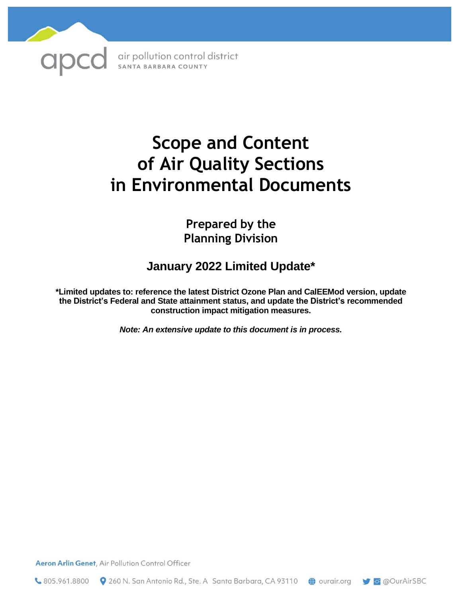

# **Scope and Content of Air Quality Sections in Environmental Documents**

**Prepared by the Planning Division**

# **January 2022 Limited Update\***

**\*Limited updates to: reference the latest District Ozone Plan and CalEEMod version, update the District's Federal and State attainment status, and update the District's recommended construction impact mitigation measures.** 

*Note: An extensive update to this document is in process.*

Aeron Arlin Genet, Air Pollution Control Officer

 $\bullet$  805.961.8800  $\bullet$  260 N. San Antonio Rd., Ste. A Santa Barbara, CA 93110  $\bullet$  ourair.org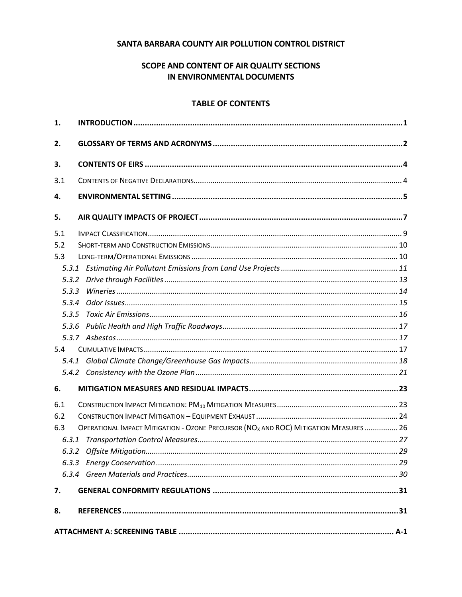#### SANTA BARBARA COUNTY AIR POLLUTION CONTROL DISTRICT

# SCOPE AND CONTENT OF AIR QUALITY SECTIONS IN ENVIRONMENTAL DOCUMENTS

#### **TABLE OF CONTENTS**

| 1.    |                                                                                                  |  |  |  |
|-------|--------------------------------------------------------------------------------------------------|--|--|--|
| 2.    |                                                                                                  |  |  |  |
| З.    |                                                                                                  |  |  |  |
| 3.1   |                                                                                                  |  |  |  |
| 4.    |                                                                                                  |  |  |  |
| 5.    |                                                                                                  |  |  |  |
| 5.1   |                                                                                                  |  |  |  |
| 5.2   |                                                                                                  |  |  |  |
| 5.3   |                                                                                                  |  |  |  |
|       |                                                                                                  |  |  |  |
| 5.3.2 |                                                                                                  |  |  |  |
| 5.3.3 |                                                                                                  |  |  |  |
| 5.3.4 |                                                                                                  |  |  |  |
| 5.3.5 |                                                                                                  |  |  |  |
|       |                                                                                                  |  |  |  |
|       |                                                                                                  |  |  |  |
| 5.4   |                                                                                                  |  |  |  |
|       |                                                                                                  |  |  |  |
|       |                                                                                                  |  |  |  |
| 6.    |                                                                                                  |  |  |  |
| 6.1   |                                                                                                  |  |  |  |
| 6.2   |                                                                                                  |  |  |  |
| 6.3   | OPERATIONAL IMPACT MITIGATION - OZONE PRECURSOR (NO <sub>X</sub> AND ROC) MITIGATION MEASURES 26 |  |  |  |
| 6.3.1 |                                                                                                  |  |  |  |
|       |                                                                                                  |  |  |  |
|       |                                                                                                  |  |  |  |
|       |                                                                                                  |  |  |  |
| 7.    |                                                                                                  |  |  |  |
| 8.    |                                                                                                  |  |  |  |
|       |                                                                                                  |  |  |  |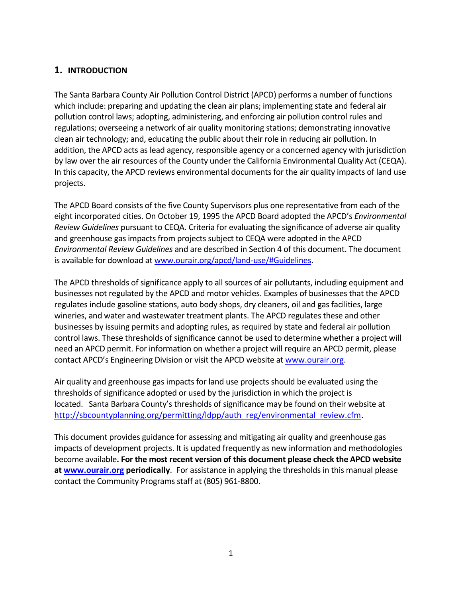# **1. INTRODUCTION**

The Santa Barbara County Air Pollution Control District (APCD) performs a number of functions which include: preparing and updating the clean air plans; implementing state and federal air pollution control laws; adopting, administering, and enforcing air pollution control rules and regulations; overseeing a network of air quality monitoring stations; demonstrating innovative clean air technology; and, educating the public about their role in reducing air pollution. In addition, the APCD acts as lead agency, responsible agency or a concerned agency with jurisdiction by law over the air resources of the County under the California Environmental Quality Act (CEQA). In this capacity, the APCD reviews environmental documents for the air quality impacts of land use projects.

The APCD Board consists of the five County Supervisors plus one representative from each of the eight incorporated cities. On October 19, 1995 the APCD Board adopted the APCD's *Environmental Review Guidelines* pursuant to CEQA. Criteria for evaluating the significance of adverse air quality and greenhouse gas impacts from projects subject to CEQA were adopted in the APCD *Environmental Review Guidelines* and are described in Section 4 of this document. The document is available for download at [www.ourair.org/apcd/land-use/#Guidelines.](http://www.ourair.org/apcd/land-use/#Guidelines)

The APCD thresholds of significance apply to all sources of air pollutants, including equipment and businesses not regulated by the APCD and motor vehicles. Examples of businesses that the APCD regulates include gasoline stations, auto body shops, dry cleaners, oil and gas facilities, large wineries, and water and wastewater treatment plants. The APCD regulates these and other businesses by issuing permits and adopting rules, as required by state and federal air pollution control laws. These thresholds of significance cannot be used to determine whether a project will need an APCD permit. For information on whether a project will require an APCD permit, please contact APCD's Engineering Division or visit the APCD website at [www.ourair.org.](http://www.ourair.org/)

Air quality and greenhouse gas impacts for land use projects should be evaluated using the thresholds of significance adopted or used by the jurisdiction in which the project is located. Santa Barbara County's thresholds of significance may be found on their website at [http://sbcountyplanning.org/permitting/ldpp/auth\\_reg/environmental\\_review.cfm.](http://sbcountyplanning.org/permitting/ldpp/auth_reg/environmental_review.cfm)

This document provides guidance for assessing and mitigating air quality and greenhouse gas impacts of development projects. It is updated frequently as new information and methodologies become available**. For the most recent version of this document please check the APCD website at [www.ourair.org](http://www.ourair.org/) periodically**. For assistance in applying the thresholds in this manual please contact the Community Programs staff at (805) 961-8800.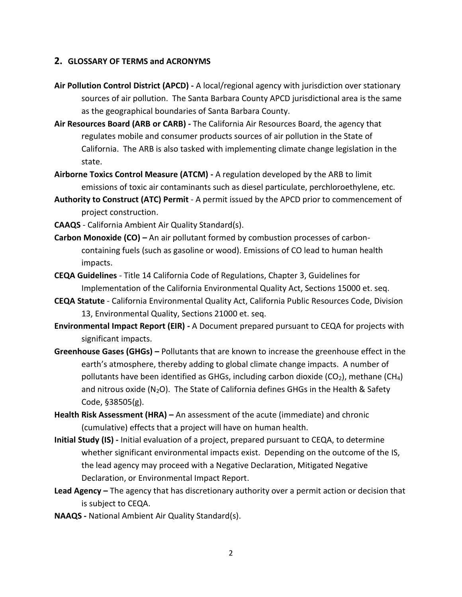#### **2. GLOSSARY OF TERMS and ACRONYMS**

- **Air Pollution Control District (APCD) -** A local/regional agency with jurisdiction over stationary sources of air pollution. The Santa Barbara County APCD jurisdictional area is the same as the geographical boundaries of Santa Barbara County.
- **Air Resources Board (ARB or CARB) -** The California Air Resources Board, the agency that regulates mobile and consumer products sources of air pollution in the State of California. The ARB is also tasked with implementing climate change legislation in the state.
- **Airborne Toxics Control Measure (ATCM) -** A regulation developed by the ARB to limit emissions of toxic air contaminants such as diesel particulate, perchloroethylene, etc.
- **Authority to Construct (ATC) Permit** A permit issued by the APCD prior to commencement of project construction.
- **CAAQS** California Ambient Air Quality Standard(s).
- **Carbon Monoxide (CO) –** An air pollutant formed by combustion processes of carboncontaining fuels (such as gasoline or wood). Emissions of CO lead to human health impacts.
- **CEQA Guidelines** Title 14 California Code of Regulations, Chapter 3, Guidelines for Implementation of the California Environmental Quality Act, Sections 15000 et. seq.
- **CEQA Statute** California Environmental Quality Act, California Public Resources Code, Division 13, Environmental Quality, Sections 21000 et. seq.
- **Environmental Impact Report (EIR) -** A Document prepared pursuant to CEQA for projects with significant impacts.
- **Greenhouse Gases (GHGs) –** Pollutants that are known to increase the greenhouse effect in the earth's atmosphere, thereby adding to global climate change impacts. A number of pollutants have been identified as GHGs, including carbon dioxide ( $CO<sub>2</sub>$ ), methane (CH<sub>4</sub>) and nitrous oxide ( $N_2O$ ). The State of California defines GHGs in the Health & Safety Code, §38505(g).
- **Health Risk Assessment (HRA) –** An assessment of the acute (immediate) and chronic (cumulative) effects that a project will have on human health.
- **Initial Study (IS) -** Initial evaluation of a project, prepared pursuant to CEQA, to determine whether significant environmental impacts exist. Depending on the outcome of the IS, the lead agency may proceed with a Negative Declaration, Mitigated Negative Declaration, or Environmental Impact Report.
- **Lead Agency –** The agency that has discretionary authority over a permit action or decision that is subject to CEQA.
- **NAAQS -** National Ambient Air Quality Standard(s).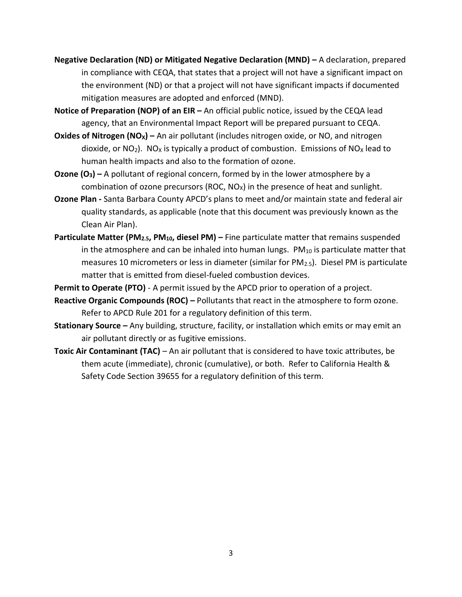- **Negative Declaration (ND) or Mitigated Negative Declaration (MND) –** A declaration, prepared in compliance with CEQA, that states that a project will not have a significant impact on the environment (ND) or that a project will not have significant impacts if documented mitigation measures are adopted and enforced (MND).
- **Notice of Preparation (NOP) of an EIR –** An official public notice, issued by the CEQA lead agency, that an Environmental Impact Report will be prepared pursuant to CEQA.
- **Oxides of Nitrogen (NOX) –** An air pollutant (includes nitrogen oxide, or NO, and nitrogen dioxide, or  $NO<sub>2</sub>$ ). NO<sub>x</sub> is typically a product of combustion. Emissions of  $NO<sub>X</sub>$  lead to human health impacts and also to the formation of ozone.
- **Ozone (O3) –** A pollutant of regional concern, formed by in the lower atmosphere by a combination of ozone precursors (ROC,  $NO<sub>x</sub>$ ) in the presence of heat and sunlight.
- **Ozone Plan -** Santa Barbara County APCD's plans to meet and/or maintain state and federal air quality standards, as applicable (note that this document was previously known as the Clean Air Plan).
- **Particulate Matter (PM2.5, PM10, diesel PM) –** Fine particulate matter that remains suspended in the atmosphere and can be inhaled into human lungs.  $PM_{10}$  is particulate matter that measures 10 micrometers or less in diameter (similar for  $PM_{2.5}$ ). Diesel PM is particulate matter that is emitted from diesel-fueled combustion devices.
- **Permit to Operate (PTO)** A permit issued by the APCD prior to operation of a project.
- **Reactive Organic Compounds (ROC) –** Pollutants that react in the atmosphere to form ozone. Refer to APCD Rule 201 for a regulatory definition of this term.
- **Stationary Source –** Any building, structure, facility, or installation which emits or may emit an air pollutant directly or as fugitive emissions.
- **Toxic Air Contaminant (TAC)** An air pollutant that is considered to have toxic attributes, be them acute (immediate), chronic (cumulative), or both. Refer to California Health & Safety Code Section 39655 for a regulatory definition of this term.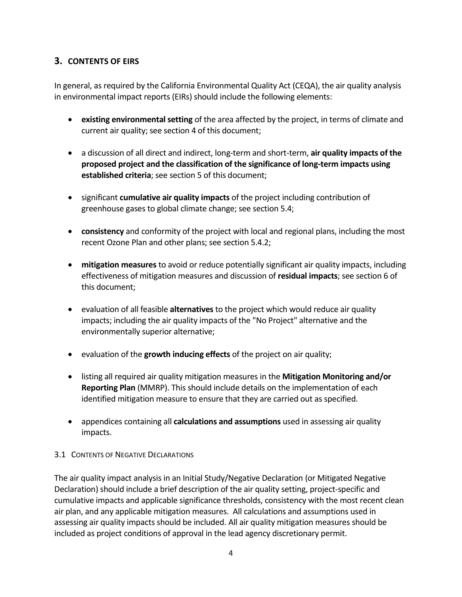# **3. CONTENTS OF EIRS**

In general, as required by the California Environmental Quality Act (CEQA), the air quality analysis in environmental impact reports (EIRs) should include the following elements:

- **existing environmental setting** of the area affected by the project, in terms of climate and current air quality; see section 4 of this document;
- a discussion of all direct and indirect, long-term and short-term, **air quality impacts of the proposed project and the classification of the significance of long-term impacts using established criteria**; see section 5 of this document;
- significant **cumulative air quality impacts** of the project including contribution of greenhouse gases to global climate change; see section 5.4;
- **consistency** and conformity of the project with local and regional plans, including the most recent Ozone Plan and other plans; see section 5.4.2;
- **mitigation measures** to avoid or reduce potentially significant air quality impacts, including effectiveness of mitigation measures and discussion of **residual impacts**; see section 6 of this document;
- evaluation of all feasible **alternatives** to the project which would reduce air quality impacts; including the air quality impacts of the "No Project" alternative and the environmentally superior alternative;
- evaluation of the **growth inducing effects** of the project on air quality;
- listing all required air quality mitigation measures in the **Mitigation Monitoring and/or Reporting Plan** (MMRP). This should include details on the implementation of each identified mitigation measure to ensure that they are carried out as specified.
- appendices containing all **calculations and assumptions** used in assessing air quality impacts.

# 3.1 CONTENTS OF NEGATIVE DECLARATIONS

The air quality impact analysis in an Initial Study/Negative Declaration (or Mitigated Negative Declaration) should include a brief description of the air quality setting, project-specific and cumulative impacts and applicable significance thresholds, consistency with the most recent clean air plan, and any applicable mitigation measures. All calculations and assumptions used in assessing air quality impacts should be included. All air quality mitigation measures should be included as project conditions of approval in the lead agency discretionary permit.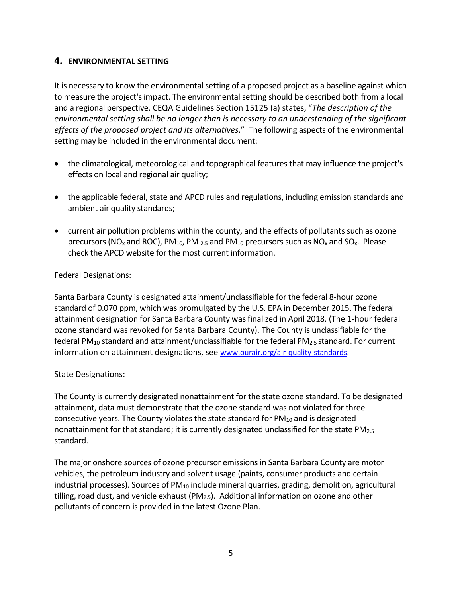# **4. ENVIRONMENTAL SETTING**

It is necessary to know the environmental setting of a proposed project as a baseline against which to measure the project's impact. The environmental setting should be described both from a local and a regional perspective. CEQA Guidelines Section 15125 (a) states, "*The description of the environmental setting shall be no longer than is necessary to an understanding of the significant effects of the proposed project and its alternatives*." The following aspects of the environmental setting may be included in the environmental document:

- the climatological, meteorological and topographical features that may influence the project's effects on local and regional air quality;
- the applicable federal, state and APCD rules and regulations, including emission standards and ambient air quality standards;
- current air pollution problems within the county, and the effects of pollutants such as ozone precursors (NO<sub>x</sub> and ROC), PM<sub>10</sub>, PM  $_{2.5}$  and PM<sub>10</sub> precursors such as NO<sub>x</sub> and SO<sub>x</sub>. Please check the APCD website for the most current information.

#### Federal Designations:

Santa Barbara County is designated attainment/unclassifiable for the federal 8-hour ozone standard of 0.070 ppm, which was promulgated by the U.S. EPA in December 2015. The federal attainment designation for Santa Barbara County was finalized in April 2018. (The 1-hour federal ozone standard was revoked for Santa Barbara County). The County is unclassifiable for the federal PM<sub>10</sub> standard and attainment/unclassifiable for the federal PM<sub>2.5</sub> standard. For current information on attainment designations, see [www.ourair.org/air-quality-standards.](http://www.ourair.org/air-quality-standards)

#### State Designations:

The County is currently designated nonattainment for the state ozone standard. To be designated attainment, data must demonstrate that the ozone standard was not violated for three consecutive years. The County violates the state standard for  $PM_{10}$  and is designated nonattainment for that standard; it is currently designated unclassified for the state PM<sub>2.5</sub> standard.

The major onshore sources of ozone precursor emissions in Santa Barbara County are motor vehicles, the petroleum industry and solvent usage (paints, consumer products and certain industrial processes). Sources of PM<sub>10</sub> include mineral quarries, grading, demolition, agricultural tilling, road dust, and vehicle exhaust ( $PM_{2.5}$ ). Additional information on ozone and other pollutants of concern is provided in the latest Ozone Plan.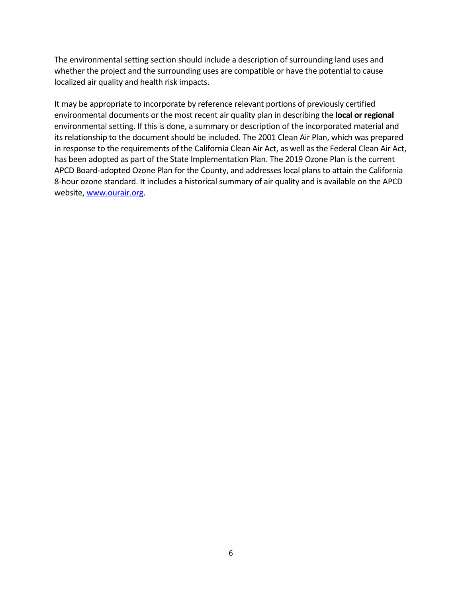The environmental setting section should include a description of surrounding land uses and whether the project and the surrounding uses are compatible or have the potential to cause localized air quality and health risk impacts.

It may be appropriate to incorporate by reference relevant portions of previously certified environmental documents or the most recent air quality plan in describing the **local or regional** environmental setting. If this is done, a summary or description of the incorporated material and its relationship to the document should be included. The 2001 Clean Air Plan, which was prepared in response to the requirements of the California Clean Air Act, as well as the Federal Clean Air Act, has been adopted as part of the State Implementation Plan. The 2019 Ozone Plan is the current APCD Board-adopted Ozone Plan for the County, and addresses local plans to attain the California 8-hour ozone standard. It includes a historical summary of air quality and is available on the APCD website[, www.ourair.org.](http://www.ourair.org/)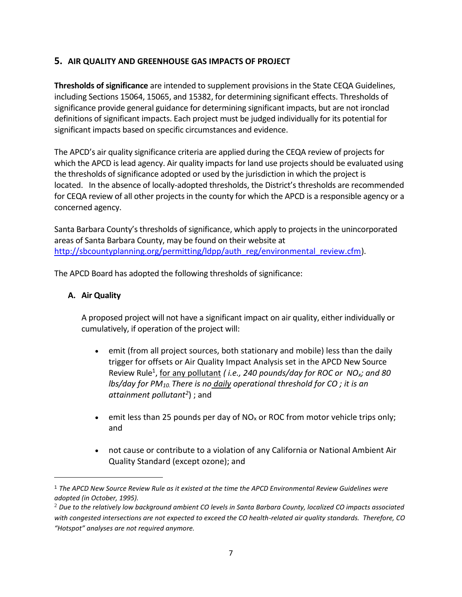# **5. AIR QUALITY AND GREENHOUSE GAS IMPACTS OF PROJECT**

**Thresholds of significance** are intended to supplement provisions in the State CEQA Guidelines, including Sections 15064, 15065, and 15382, for determining significant effects. Thresholds of significance provide general guidance for determining significant impacts, but are not ironclad definitions of significant impacts. Each project must be judged individually for its potential for significant impacts based on specific circumstances and evidence.

The APCD's air quality significance criteria are applied during the CEQA review of projects for which the APCD is lead agency. Air quality impacts for land use projects should be evaluated using the thresholds of significance adopted or used by the jurisdiction in which the project is located. In the absence of locally-adopted thresholds, the District's thresholds are recommended for CEQA review of all other projects in the county for which the APCD is a responsible agency or a concerned agency.

Santa Barbara County's thresholds of significance, which apply to projects in the unincorporated areas of Santa Barbara County, may be found on their website at [http://sbcountyplanning.org/permitting/ldpp/auth\\_reg/environmental\\_review.cfm\)](http://sbcountyplanning.org/permitting/ldpp/auth_reg/environmental_review.cfm).

The APCD Board has adopted the following thresholds of significance:

#### **A. Air Quality**

A proposed project will not have a significant impact on air quality, either individually or cumulatively, if operation of the project will:

- emit (from all project sources, both stationary and mobile) less than the daily trigger for offsets or Air Quality Impact Analysis set in the APCD New Source Review Rule<sup>1</sup>, for any pollutant (*i.e., 240 pounds/day for ROC or NO<sub>x</sub>; and 80 lbs/day for PM10. There is no daily operational threshold for CO ; it is an attainment pollutant<sup>2</sup>* ) ; and
- emit less than 25 pounds per day of  $NO_x$  or ROC from motor vehicle trips only; and
- not cause or contribute to a violation of any California or National Ambient Air Quality Standard (except ozone); and

<sup>1</sup> *The APCD New Source Review Rule as it existed at the time the APCD Environmental Review Guidelines were adopted (in October, 1995).*

<sup>2</sup> *Due to the relatively low background ambient CO levels in Santa Barbara County, localized CO impacts associated with congested intersections are not expected to exceed the CO health-related air quality standards. Therefore, CO "Hotspot" analyses are not required anymore.*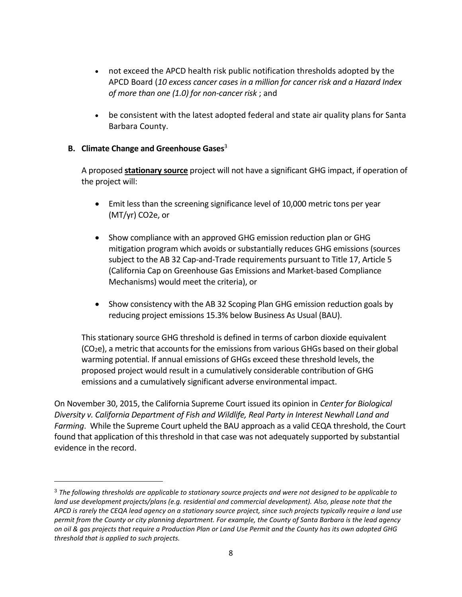- not exceed the APCD health risk public notification thresholds adopted by the APCD Board (*10 excess cancer cases in a million for cancer risk and a Hazard Index of more than one (1.0) for non-cancer risk* ; and
- be consistent with the latest adopted federal and state air quality plans for Santa Barbara County.

#### **B. Climate Change and Greenhouse Gases**<sup>3</sup>

A proposed **stationary source** project will not have a significant GHG impact, if operation of the project will:

- Emit less than the screening significance level of 10,000 metric tons per year (MT/yr) CO2e, or
- Show compliance with an approved GHG emission reduction plan or GHG mitigation program which avoids or substantially reduces GHG emissions (sources subject to the AB 32 Cap-and-Trade requirements pursuant to Title 17, Article 5 (California Cap on Greenhouse Gas Emissions and Market-based Compliance Mechanisms) would meet the criteria), or
- Show consistency with the AB 32 Scoping Plan GHG emission reduction goals by reducing project emissions 15.3% below Business As Usual (BAU).

This stationary source GHG threshold is defined in terms of carbon dioxide equivalent  $(CO<sub>2</sub>e)$ , a metric that accounts for the emissions from various GHGs based on their global warming potential. If annual emissions of GHGs exceed these threshold levels, the proposed project would result in a cumulatively considerable contribution of GHG emissions and a cumulatively significant adverse environmental impact.

On November 30, 2015, the California Supreme Court issued its opinion in *Center for Biological Diversity v. California Department of Fish and Wildlife, Real Party in Interest Newhall Land and Farming*. While the Supreme Court upheld the BAU approach as a valid CEQA threshold, the Court found that application of this threshold in that case was not adequately supported by substantial evidence in the record.

<sup>3</sup> *The following thresholds are applicable to stationary source projects and were not designed to be applicable to land use development projects/plans (e.g. residential and commercial development). Also, please note that the APCD is rarely the CEQA lead agency on a stationary source project, since such projects typically require a land use permit from the County or city planning department. For example, the County of Santa Barbara is the lead agency on oil & gas projects that require a Production Plan or Land Use Permit and the County has its own adopted GHG threshold that is applied to such projects.*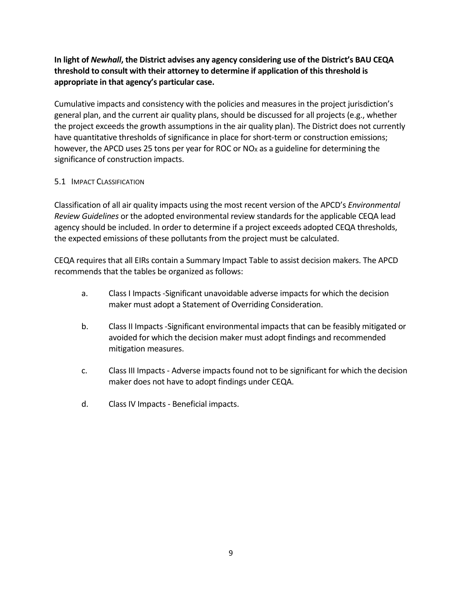**In light of** *Newhall***, the District advises any agency considering use of the District's BAU CEQA threshold to consult with their attorney to determine if application of this threshold is appropriate in that agency's particular case.**

Cumulative impacts and consistency with the policies and measures in the project jurisdiction's general plan, and the current air quality plans, should be discussed for all projects (e.g., whether the project exceeds the growth assumptions in the air quality plan). The District does not currently have quantitative thresholds of significance in place for short-term or construction emissions; however, the APCD uses 25 tons per year for ROC or  $NO<sub>X</sub>$  as a guideline for determining the significance of construction impacts.

#### 5.1 **IMPACT CLASSIFICATION**

Classification of all air quality impacts using the most recent version of the APCD's *[Environmental](http://www.sbcapcd.org/apcd/landuse.htm#Guidelines)  Review [Guidelines](http://www.sbcapcd.org/apcd/landuse.htm#Guidelines)* or the adopted environmental review standards for the applicable CEQA lead agency should be included. In order to determine if a project exceeds adopted CEQA thresholds, the expected emissions of these pollutants from the project must be calculated.

CEQA requires that all EIRs contain a Summary Impact Table to assist decision makers. The APCD recommends that the tables be organized as follows:

- a. Class I Impacts -Significant unavoidable adverse impacts for which the decision maker must adopt a Statement of Overriding Consideration.
- b. Class II Impacts -Significant environmental impacts that can be feasibly mitigated or avoided for which the decision maker must adopt findings and recommended mitigation measures.
- c. Class III Impacts Adverse impacts found not to be significant for which the decision maker does not have to adopt findings under CEQA.
- d. Class IV Impacts Beneficial impacts.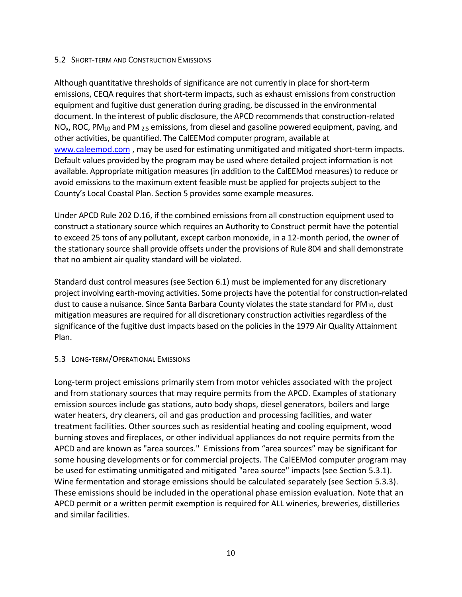#### 5.2 SHORT-TERM AND CONSTRUCTION EMISSIONS

Although quantitative thresholds of significance are not currently in place for short-term emissions, CEQA requires that short-term impacts, such as exhaust emissions from construction equipment and fugitive dust generation during grading, be discussed in the environmental document. In the interest of public disclosure, the APCD recommends that construction-related  $NO<sub>x</sub>$ , ROC, PM<sub>10</sub> and PM <sub>2.5</sub> emissions, from diesel and gasoline powered equipment, paving, and other activities, be quantified. The CalEEMod computer program, available at [www.caleemod.com](http://www.caleemod.com/) , may be used for estimating unmitigated and mitigated short-term impacts. Default values provided by the program may be used where detailed project information is not available. Appropriate mitigation measures (in addition to the CalEEMod measures) to reduce or avoid emissions to the maximum extent feasible must be applied for projects subject to the County's Local Coastal Plan. Section 5 provides some example measures.

Under APCD Rule 202 D.16, if the combined emissions from all construction equipment used to construct a stationary source which requires an Authority to Construct permit have the potential to exceed 25 tons of any pollutant, except carbon monoxide, in a 12-month period, the owner of the stationary source shall provide offsets under the provisions of Rule 804 and shall demonstrate that no ambient air quality standard will be violated.

Standard dust control measures (see Section 6.1) must be implemented for any discretionary project involving earth-moving activities. Some projects have the potential for construction-related dust to cause a nuisance. Since Santa Barbara County violates the state standard for  $PM_{10}$ , dust mitigation measures are required for all discretionary construction activities regardless of the significance of the fugitive dust impacts based on the policies in the 1979 Air Quality Attainment Plan.

#### 5.3 LONG-TERM/OPERATIONAL EMISSIONS

Long-term project emissions primarily stem from motor vehicles associated with the project and from stationary sources that may require permits from the APCD. Examples of stationary emission sources include gas stations, auto body shops, diesel generators, boilers and large water heaters, dry cleaners, oil and gas production and processing facilities, and water treatment facilities. Other sources such as residential heating and cooling equipment, wood burning stoves and fireplaces, or other individual appliances do not require permits from the APCD and are known as "area sources." Emissions from "area sources" may be significant for some housing developments or for commercial projects. The CalEEMod computer program may be used for estimating unmitigated and mitigated "area source" impacts (see Section 5.3.1). Wine fermentation and storage emissions should be calculated separately (see Section 5.3.3). These emissions should be included in the operational phase emission evaluation. Note that an APCD permit or a written permit exemption is required for ALL wineries, breweries, distilleries and similar facilities.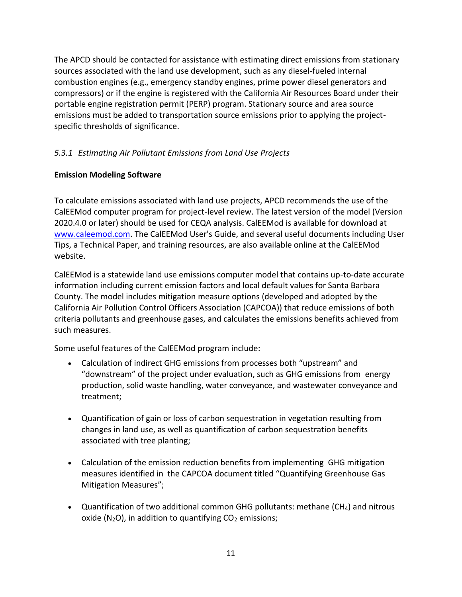The APCD should be contacted for assistance with estimating direct emissions from stationary sources associated with the land use development, such as any diesel-fueled internal combustion engines (e.g., emergency standby engines, prime power diesel generators and compressors) or if the engine is registered with the California Air Resources Board under their portable engine registration permit (PERP) program. Stationary source and area source emissions must be added to transportation source emissions prior to applying the projectspecific thresholds of significance.

# *5.3.1 Estimating Air Pollutant Emissions from Land Use Projects*

# **Emission Modeling Software**

To calculate emissions associated with land use projects, APCD recommends the use of the CalEEMod computer program for project-level review. The latest version of the model (Version 2020.4.0 or later) should be used for CEQA analysis. CalEEMod is available for download at [www.caleemod.com.](http://www.caleemod.com/) The CalEEMod User's Guide, and several useful documents including User Tips, a Technical Paper, and training resources, are also available online at the CalEEMod website.

CalEEMod is a statewide land use emissions computer model that contains up-to-date accurate information including current emission factors and local default values for Santa Barbara County. The model includes mitigation measure options (developed and adopted by the California Air Pollution Control Officers Association (CAPCOA)) that reduce emissions of both criteria pollutants and greenhouse gases, and calculates the emissions benefits achieved from such measures.

Some useful features of the CalEEMod program include:

- Calculation of indirect GHG emissions from processes both "upstream" and "downstream" of the project under evaluation, such as GHG emissions from energy production, solid waste handling, water conveyance, and wastewater conveyance and treatment;
- Quantification of gain or loss of carbon sequestration in vegetation resulting from changes in land use, as well as quantification of carbon sequestration benefits associated with tree planting;
- Calculation of the emission reduction benefits from implementing GHG mitigation measures identified in the CAPCOA document titled "Quantifying Greenhouse Gas Mitigation Measures";
- Quantification of two additional common GHG pollutants: methane  $(CH_4)$  and nitrous oxide ( $N_2O$ ), in addition to quantifying  $CO_2$  emissions;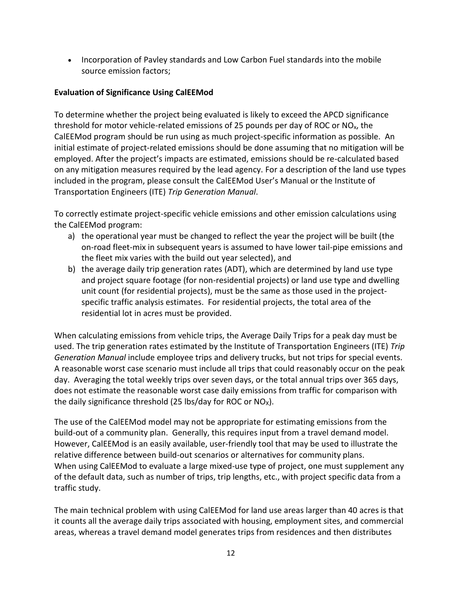• Incorporation of Pavley standards and Low Carbon Fuel standards into the mobile source emission factors;

# **Evaluation of Significance Using CalEEMod**

To determine whether the project being evaluated is likely to exceed the APCD significance threshold for motor vehicle-related emissions of 25 pounds per day of ROC or NOx, the CalEEMod program should be run using as much project-specific information as possible. An initial estimate of project-related emissions should be done assuming that no mitigation will be employed. After the project's impacts are estimated, emissions should be re-calculated based on any mitigation measures required by the lead agency. For a description of the land use types included in the program, please consult the CalEEMod User's Manual or the Institute of Transportation Engineers (ITE) *Trip Generation Manual*.

To correctly estimate project-specific vehicle emissions and other emission calculations using the CalEEMod program:

- a) the operational year must be changed to reflect the year the project will be built (the on-road fleet-mix in subsequent years is assumed to have lower tail-pipe emissions and the fleet mix varies with the build out year selected), and
- b) the average daily trip generation rates (ADT), which are determined by land use type and project square footage (for non-residential projects) or land use type and dwelling unit count (for residential projects), must be the same as those used in the projectspecific traffic analysis estimates. For residential projects, the total area of the residential lot in acres must be provided.

When calculating emissions from vehicle trips, the Average Daily Trips for a peak day must be used. The trip generation rates estimated by the Institute of Transportation Engineers (ITE) *Trip Generation Manual* include employee trips and delivery trucks, but not trips for special events. A reasonable worst case scenario must include all trips that could reasonably occur on the peak day. Averaging the total weekly trips over seven days, or the total annual trips over 365 days, does not estimate the reasonable worst case daily emissions from traffic for comparison with the daily significance threshold (25 lbs/day for ROC or  $NO<sub>x</sub>$ ).

The use of the CalEEMod model may not be appropriate for estimating emissions from the build-out of a community plan. Generally, this requires input from a travel demand model. However, CalEEMod is an easily available, user-friendly tool that may be used to illustrate the relative difference between build-out scenarios or alternatives for community plans. When using CalEEMod to evaluate a large mixed-use type of project, one must supplement any of the default data, such as number of trips, trip lengths, etc., with project specific data from a traffic study.

The main technical problem with using CalEEMod for land use areas larger than 40 acres is that it counts all the average daily trips associated with housing, employment sites, and commercial areas, whereas a travel demand model generates trips from residences and then distributes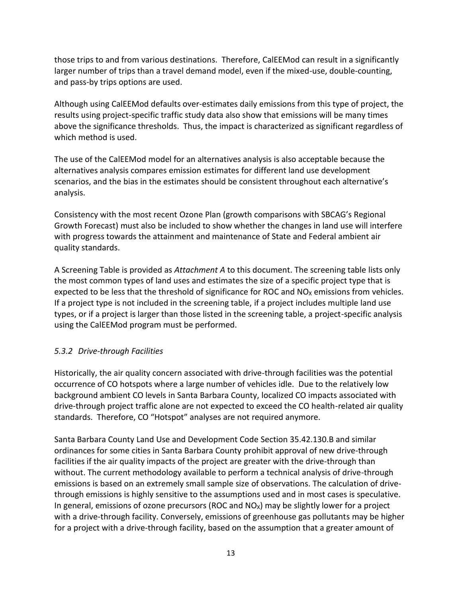those trips to and from various destinations. Therefore, CalEEMod can result in a significantly larger number of trips than a travel demand model, even if the mixed-use, double-counting, and pass-by trips options are used.

Although using CalEEMod defaults over-estimates daily emissions from this type of project, the results using project-specific traffic study data also show that emissions will be many times above the significance thresholds. Thus, the impact is characterized as significant regardless of which method is used.

The use of the CalEEMod model for an alternatives analysis is also acceptable because the alternatives analysis compares emission estimates for different land use development scenarios, and the bias in the estimates should be consistent throughout each alternative's analysis.

Consistency with the most recent Ozone Plan (growth comparisons with SBCAG's Regional Growth Forecast) must also be included to show whether the changes in land use will interfere with progress towards the attainment and maintenance of State and Federal ambient air quality standards.

A Screening Table is provided as *Attachment A* to this document. The screening table lists only the most common types of land uses and estimates the size of a specific project type that is expected to be less that the threshold of significance for ROC and NO<sub>X</sub> emissions from vehicles. If a project type is not included in the screening table, if a project includes multiple land use types, or if a project is larger than those listed in the screening table, a project-specific analysis using the CalEEMod program must be performed.

#### *5.3.2 Drive-through Facilities*

Historically, the air quality concern associated with drive-through facilities was the potential occurrence of CO hotspots where a large number of vehicles idle. Due to the relatively low background ambient CO levels in Santa Barbara County, localized CO impacts associated with drive-through project traffic alone are not expected to exceed the CO health-related air quality standards. Therefore, CO "Hotspot" analyses are not required anymore.

Santa Barbara County Land Use and Development Code Section 35.42.130.B and similar ordinances for some cities in Santa Barbara County prohibit approval of new drive-through facilities if the air quality impacts of the project are greater with the drive-through than without. The current methodology available to perform a technical analysis of drive-through emissions is based on an extremely small sample size of observations. The calculation of drivethrough emissions is highly sensitive to the assumptions used and in most cases is speculative. In general, emissions of ozone precursors (ROC and  $NO<sub>x</sub>$ ) may be slightly lower for a project with a drive-through facility. Conversely, emissions of greenhouse gas pollutants may be higher for a project with a drive-through facility, based on the assumption that a greater amount of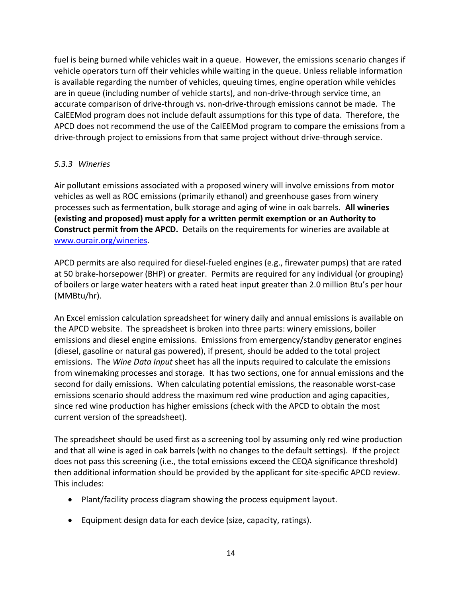fuel is being burned while vehicles wait in a queue. However, the emissions scenario changes if vehicle operators turn off their vehicles while waiting in the queue. Unless reliable information is available regarding the number of vehicles, queuing times, engine operation while vehicles are in queue (including number of vehicle starts), and non-drive-through service time, an accurate comparison of drive-through vs. non-drive-through emissions cannot be made. The CalEEMod program does not include default assumptions for this type of data. Therefore, the APCD does not recommend the use of the CalEEMod program to compare the emissions from a drive-through project to emissions from that same project without drive-through service.

#### *5.3.3 Wineries*

Air pollutant emissions associated with a proposed winery will involve emissions from motor vehicles as well as ROC emissions (primarily ethanol) and greenhouse gases from winery processes such as fermentation, bulk storage and aging of wine in oak barrels. **All wineries (existing and proposed) must apply for a written permit exemption or an Authority to Construct permit from the APCD.** Details on the requirements for wineries are available at [www.ourair.org/wineries.](http://www.ourair.org/wineries/)

APCD permits are also required for diesel-fueled engines (e.g., firewater pumps) that are rated at 50 brake-horsepower (BHP) or greater. Permits are required for any individual (or grouping) of boilers or large water heaters with a rated heat input greater than 2.0 million Btu's per hour (MMBtu/hr).

An Excel emission calculation spreadsheet for winery daily and annual emissions is available on the APCD website. The spreadsheet is broken into three parts: winery emissions, boiler emissions and diesel engine emissions. Emissions from emergency/standby generator engines (diesel, gasoline or natural gas powered), if present, should be added to the total project emissions. The *Wine Data Input* sheet has all the inputs required to calculate the emissions from winemaking processes and storage. It has two sections, one for annual emissions and the second for daily emissions. When calculating potential emissions, the reasonable worst-case emissions scenario should address the maximum red wine production and aging capacities, since red wine production has higher emissions (check with the APCD to obtain the most current version of the spreadsheet).

The spreadsheet should be used first as a screening tool by assuming only red wine production and that all wine is aged in oak barrels (with no changes to the default settings). If the project does not pass this screening (i.e., the total emissions exceed the CEQA significance threshold) then additional information should be provided by the applicant for site-specific APCD review. This includes:

- Plant/facility process diagram showing the process equipment layout.
- Equipment design data for each device (size, capacity, ratings).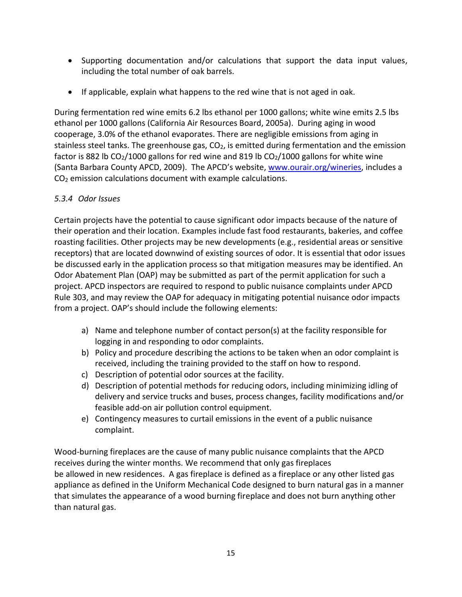- Supporting documentation and/or calculations that support the data input values, including the total number of oak barrels.
- If applicable, explain what happens to the red wine that is not aged in oak.

During fermentation red wine emits 6.2 lbs ethanol per 1000 gallons; white wine emits 2.5 lbs ethanol per 1000 gallons (California Air Resources Board, 2005a). During aging in wood cooperage, 3.0% of the ethanol evaporates. There are negligible emissions from aging in stainless steel tanks. The greenhouse gas,  $CO<sub>2</sub>$ , is emitted during fermentation and the emission factor is 882 lb  $CO<sub>2</sub>/1000$  gallons for red wine and 819 lb  $CO<sub>2</sub>/1000$  gallons for white wine (Santa Barbara County APCD, 2009). The APCD's website, [www.ourair.org/wineries,](http://www.ourair.org/wineries/) includes a CO<sup>2</sup> emission calculations document with example calculations.

# *5.3.4 Odor Issues*

Certain projects have the potential to cause significant odor impacts because of the nature of their operation and their location. Examples include fast food restaurants, bakeries, and coffee roasting facilities. Other projects may be new developments (e.g., residential areas or sensitive receptors) that are located downwind of existing sources of odor. It is essential that odor issues be discussed early in the application process so that mitigation measures may be identified. An Odor Abatement Plan (OAP) may be submitted as part of the permit application for such a project. APCD inspectors are required to respond to public nuisance complaints under APCD Rule 303, and may review the OAP for adequacy in mitigating potential nuisance odor impacts from a project. OAP's should include the following elements:

- a) Name and telephone number of contact person(s) at the facility responsible for logging in and responding to odor complaints.
- b) Policy and procedure describing the actions to be taken when an odor complaint is received, including the training provided to the staff on how to respond.
- c) Description of potential odor sources at the facility.
- d) Description of potential methods for reducing odors, including minimizing idling of delivery and service trucks and buses, process changes, facility modifications and/or feasible add-on air pollution control equipment.
- e) Contingency measures to curtail emissions in the event of a public nuisance complaint.

Wood-burning fireplaces are the cause of many public nuisance complaints that the APCD receives during the winter months. We recommend that only gas fireplaces be allowed in new residences. A gas fireplace is defined as a fireplace or any other listed gas appliance as defined in the Uniform Mechanical Code designed to burn natural gas in a manner that simulates the appearance of a wood burning fireplace and does not burn anything other than natural gas.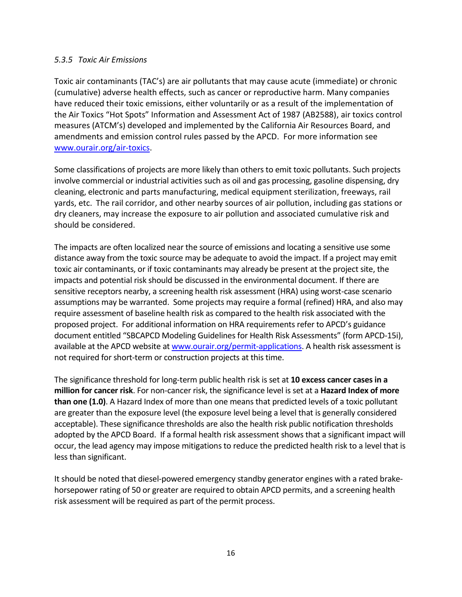#### *5.3.5 Toxic Air Emissions*

Toxic air contaminants (TAC's) are air pollutants that may cause acute (immediate) or chronic (cumulative) adverse health effects, such as cancer or reproductive harm. Many companies have reduced their toxic emissions, either voluntarily or as a result of the implementation of the Air Toxics "Hot Spots" Information and Assessment Act of 1987 (AB2588), air toxics control measures (ATCM's) developed and implemented by the California Air Resources Board, and amendments and emission control rules passed by the APCD. For more information see [www.ourair.org/air-toxics.](http://www.ourair.org/air-toxics/)

Some classifications of projects are more likely than others to emit toxic pollutants. Such projects involve commercial or industrial activities such as oil and gas processing, gasoline dispensing, dry cleaning, electronic and parts manufacturing, medical equipment sterilization, freeways, rail yards, etc. The rail corridor, and other nearby sources of air pollution, including gas stations or dry cleaners, may increase the exposure to air pollution and associated cumulative risk and should be considered.

The impacts are often localized near the source of emissions and locating a sensitive use some distance away from the toxic source may be adequate to avoid the impact. If a project may emit toxic air contaminants, or if toxic contaminants may already be present at the project site, the impacts and potential risk should be discussed in the environmental document. If there are sensitive receptors nearby, a screening health risk assessment (HRA) using worst-case scenario assumptions may be warranted. Some projects may require a formal (refined) HRA, and also may require assessment of baseline health risk as compared to the health risk associated with the proposed project. For additional information on HRA requirements refer to APCD's guidance document entitled "SBCAPCD Modeling Guidelines for Health Risk Assessments" (form APCD-15i), available at the APCD website a[t www.ourair.org/permit-applications.](http://www.ourair.org/permit-applications/) A health risk assessment is not required for short-term or construction projects at this time.

The significance threshold for long-term public health risk is set at **10 excess cancer cases in a million for cancer risk**. For non-cancer risk, the significance level is set at a **Hazard Index of more than one (1.0)**. A Hazard Index of more than one means that predicted levels of a toxic pollutant are greater than the exposure level (the exposure level being a level that is generally considered acceptable). These significance thresholds are also the health risk public notification thresholds adopted by the APCD Board. If a formal health risk assessment shows that a significant impact will occur, the lead agency may impose mitigations to reduce the predicted health risk to a level that is less than significant.

It should be noted that diesel-powered emergency standby generator engines with a rated brakehorsepower rating of 50 or greater are required to obtain APCD permits, and a screening health risk assessment will be required as part of the permit process.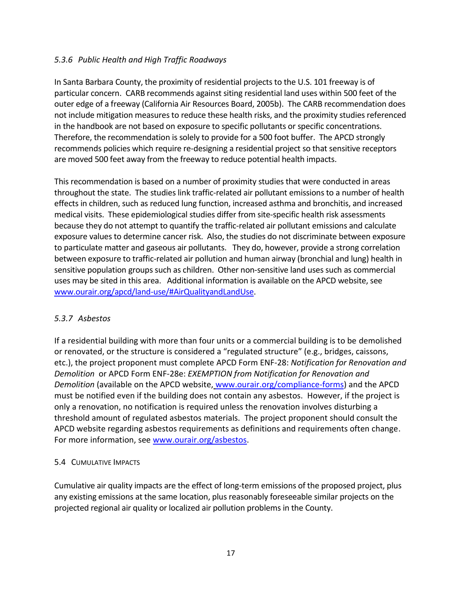# *5.3.6 Public Health and High Traffic Roadways*

In Santa Barbara County, the proximity of residential projects to the U.S. 101 freeway is of particular concern. CARB recommends against siting residential land uses within 500 feet of the outer edge of a freeway (California Air Resources Board, 2005b). The CARB recommendation does not include mitigation measures to reduce these health risks, and the proximity studies referenced in the handbook are not based on exposure to specific pollutants or specific concentrations. Therefore, the recommendation is solely to provide for a 500 foot buffer. The APCD strongly recommends policies which require re-designing a residential project so that sensitive receptors are moved 500 feet away from the freeway to reduce potential health impacts.

This recommendation is based on a number of proximity studies that were conducted in areas throughout the state. The studies link traffic-related air pollutant emissions to a number of health effects in children, such as reduced lung function, increased asthma and bronchitis, and increased medical visits. These epidemiological studies differ from site-specific health risk assessments because they do not attempt to quantify the traffic-related air pollutant emissions and calculate exposure values to determine cancer risk. Also, the studies do not discriminate between exposure to particulate matter and gaseous air pollutants. They do, however, provide a strong correlation between exposure to traffic-related air pollution and human airway (bronchial and lung) health in sensitive population groups such as children. Other non-sensitive land uses such as commercial uses may be sited in this area. Additional information is available on the APCD website, see [www.ourair.org/apcd/land-use/#AirQualityandLandUse.](http://www.ourair.org/apcd/land-use/#AirQualityandLandUse)

#### *5.3.7 Asbestos*

If a residential building with more than four units or a commercial building is to be demolished or renovated, or the structure is considered a "regulated structure" (e.g., bridges, caissons, etc.), the project proponent must complete APCD Form ENF-28: *Notification for Renovation and Demolition* or APCD Form ENF-28e: *EXEMPTION from Notification for Renovation and Demolition* (available on the APCD website, [www.ourair.org/compliance-forms\)](http://www.ourair.org/compliance-forms) and the APCD must be notified even if the building does not contain any asbestos. However, if the project is only a renovation, no notification is required unless the renovation involves disturbing a threshold amount of regulated asbestos materials. The project proponent should consult the APCD website regarding asbestos requirements as definitions and requirements often change. For more information, see [www.ourair.org/asbestos.](http://www.ourair.org/asbestos/)

#### 5.4 CUMULATIVE IMPACTS

Cumulative air quality impacts are the effect of long-term emissions of the proposed project, plus any existing emissions at the same location, plus reasonably foreseeable similar projects on the projected regional air quality or localized air pollution problems in the County.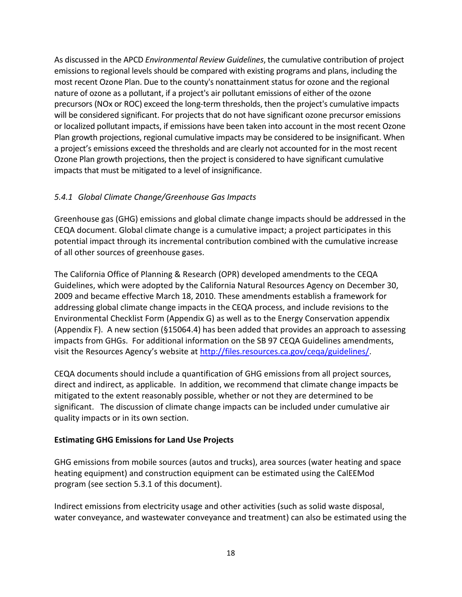As discussed in the APCD *Environmental Review Guidelines*, the cumulative contribution of project emissions to regional levels should be compared with existing programs and plans, including the most recent Ozone Plan. Due to the county's nonattainment status for ozone and the regional nature of ozone as a pollutant, if a project's air pollutant emissions of either of the ozone precursors (NOx or ROC) exceed the long-term thresholds, then the project's cumulative impacts will be considered significant. For projects that do not have significant ozone precursor emissions or localized pollutant impacts, if emissions have been taken into account in the most recent Ozone Plan growth projections, regional cumulative impacts may be considered to be insignificant. When a project's emissions exceed the thresholds and are clearly not accounted for in the most recent Ozone Plan growth projections, then the project is considered to have significant cumulative impacts that must be mitigated to a level of insignificance.

#### *5.4.1 Global Climate Change/Greenhouse Gas Impacts*

Greenhouse gas (GHG) emissions and global climate change impacts should be addressed in the CEQA document. Global climate change is a cumulative impact; a project participates in this potential impact through its incremental contribution combined with the cumulative increase of all other sources of greenhouse gases.

The California Office of Planning & Research (OPR) developed amendments to the CEQA Guidelines, which were adopted by the California Natural Resources Agency on December 30, 2009 and became effective March 18, 2010. These amendments establish a framework for addressing global climate change impacts in the CEQA process, and include revisions to the Environmental Checklist Form (Appendix G) as well as to the Energy Conservation appendix (Appendix F). A new section (§15064.4) has been added that provides an approach to assessing impacts from GHGs. For additional information on the SB 97 CEQA Guidelines amendments, visit the Resources Agency's website at [http://files.resources.ca.gov/ceqa/guidelines/.](http://files.resources.ca.gov/ceqa/guidelines/)

CEQA documents should include a quantification of GHG emissions from all project sources, direct and indirect, as applicable. In addition, we recommend that climate change impacts be mitigated to the extent reasonably possible, whether or not they are determined to be significant. The discussion of climate change impacts can be included under cumulative air quality impacts or in its own section.

#### **Estimating GHG Emissions for Land Use Projects**

GHG emissions from mobile sources (autos and trucks), area sources (water heating and space heating equipment) and construction equipment can be estimated using the CalEEMod program (see section 5.3.1 of this document).

Indirect emissions from electricity usage and other activities (such as solid waste disposal, water conveyance, and wastewater conveyance and treatment) can also be estimated using the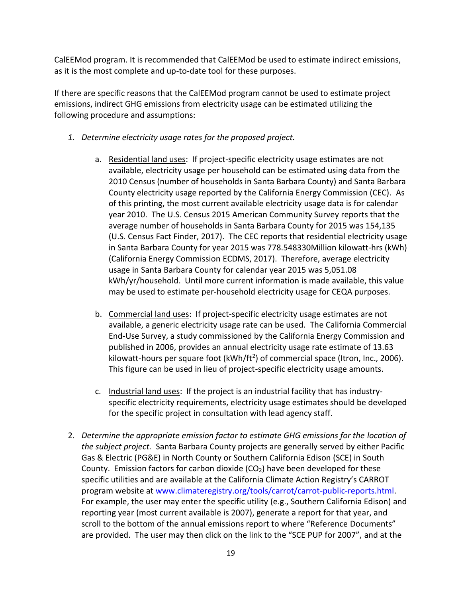CalEEMod program. It is recommended that CalEEMod be used to estimate indirect emissions, as it is the most complete and up-to-date tool for these purposes.

If there are specific reasons that the CalEEMod program cannot be used to estimate project emissions, indirect GHG emissions from electricity usage can be estimated utilizing the following procedure and assumptions:

- *1. Determine electricity usage rates for the proposed project.*
	- a. Residential land uses: If project-specific electricity usage estimates are not available, electricity usage per household can be estimated using data from the 2010 Census (number of households in Santa Barbara County) and Santa Barbara County electricity usage reported by the California Energy Commission (CEC). As of this printing, the most current available electricity usage data is for calendar year 2010. The U.S. Census 2015 American Community Survey reports that the average number of households in Santa Barbara County for 2015 was 154,135 (U.S. Census Fact Finder, 2017). The CEC reports that residential electricity usage in Santa Barbara County for year 2015 was 778.548330Million kilowatt-hrs (kWh) (California Energy Commission ECDMS, 2017). Therefore, average electricity usage in Santa Barbara County for calendar year 2015 was 5,051.08 kWh/yr/household. Until more current information is made available, this value may be used to estimate per-household electricity usage for CEQA purposes.
	- b. Commercial land uses: If project-specific electricity usage estimates are not available, a generic electricity usage rate can be used. The California Commercial End-Use Survey, a study commissioned by the California Energy Commission and published in 2006, provides an annual electricity usage rate estimate of 13.63 kilowatt-hours per square foot (kWh/ft<sup>2</sup>) of commercial space (Itron, Inc., 2006). This figure can be used in lieu of project-specific electricity usage amounts.
	- c. Industrial land uses: If the project is an industrial facility that has industryspecific electricity requirements, electricity usage estimates should be developed for the specific project in consultation with lead agency staff.
- 2. *Determine the appropriate emission factor to estimate GHG emissions for the location of the subject project.* Santa Barbara County projects are generally served by either Pacific Gas & Electric (PG&E) in North County or Southern California Edison (SCE) in South County. Emission factors for carbon dioxide  $(CO<sub>2</sub>)$  have been developed for these specific utilities and are available at the California Climate Action Registry's CARROT program website at [www.climateregistry.org/tools/carrot/carrot-public-reports.html.](http://www.climateregistry.org/tools/carrot/carrot-public-reports.html) For example, the user may enter the specific utility (e.g., Southern California Edison) and reporting year (most current available is 2007), generate a report for that year, and scroll to the bottom of the annual emissions report to where "Reference Documents" are provided. The user may then click on the link to the "SCE PUP for 2007", and at the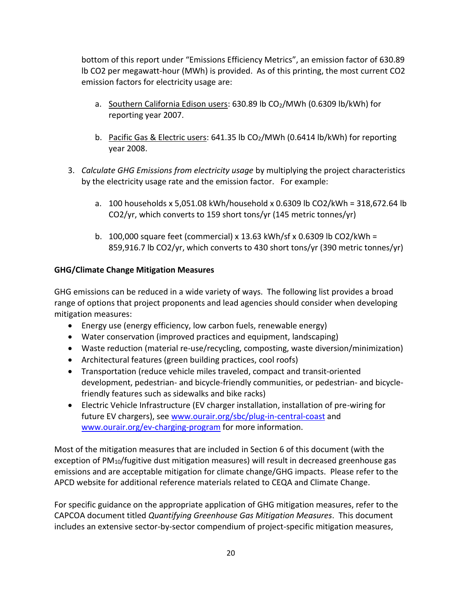bottom of this report under "Emissions Efficiency Metrics", an emission factor of 630.89 lb CO2 per megawatt-hour (MWh) is provided. As of this printing, the most current CO2 emission factors for electricity usage are:

- a. Southern California Edison users: 630.89 lb CO<sub>2</sub>/MWh (0.6309 lb/kWh) for reporting year 2007.
- b. Pacific Gas & Electric users:  $641.35$  lb CO<sub>2</sub>/MWh (0.6414 lb/kWh) for reporting year 2008.
- 3. *Calculate GHG Emissions from electricity usage* by multiplying the project characteristics by the electricity usage rate and the emission factor. For example:
	- a. 100 households x 5,051.08 kWh/household x 0.6309 lb CO2/kWh = 318,672.64 lb CO2/yr, which converts to 159 short tons/yr (145 metric tonnes/yr)
	- b. 100,000 square feet (commercial) x 13.63 kWh/sf x 0.6309 lb CO2/kWh = 859,916.7 lb CO2/yr, which converts to 430 short tons/yr (390 metric tonnes/yr)

# **GHG/Climate Change Mitigation Measures**

GHG emissions can be reduced in a wide variety of ways. The following list provides a broad range of options that project proponents and lead agencies should consider when developing mitigation measures:

- Energy use (energy efficiency, low carbon fuels, renewable energy)
- Water conservation (improved practices and equipment, landscaping)
- Waste reduction (material re-use/recycling, composting, waste diversion/minimization)
- Architectural features (green building practices, cool roofs)
- Transportation (reduce vehicle miles traveled, compact and transit-oriented development, pedestrian- and bicycle-friendly communities, or pedestrian- and bicyclefriendly features such as sidewalks and bike racks)
- Electric Vehicle Infrastructure (EV charger installation, installation of pre-wiring for future EV chargers), see [www.ourair.org/sbc/plug-in-central-coast](http://www.ourair.org/sbc/plug-in-central-coast/) and [www.ourair.org/ev-charging-program](http://www.ourair.org/ev-charging-program/) for more information.

Most of the mitigation measures that are included in Section 6 of this document (with the exception of PM<sub>10</sub>/fugitive dust mitigation measures) will result in decreased greenhouse gas emissions and are acceptable mitigation for climate change/GHG impacts. Please refer to the APCD website for additional reference materials related to CEQA and Climate Change.

For specific guidance on the appropriate application of GHG mitigation measures, refer to the CAPCOA document titled *Quantifying Greenhouse Gas Mitigation Measures*. This document includes an extensive sector-by-sector compendium of project-specific mitigation measures,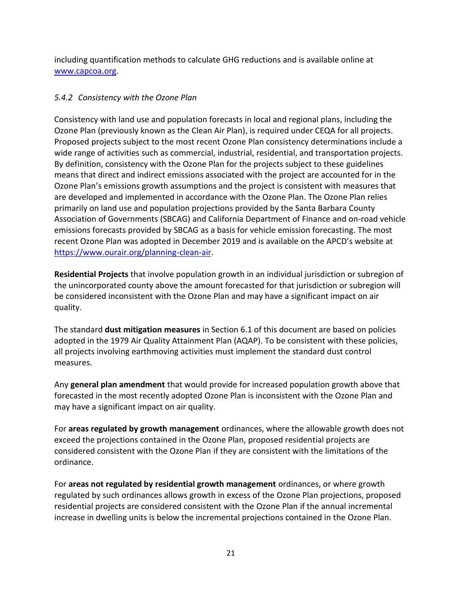including quantification methods to calculate GHG reductions and is available online at [www.capcoa.org.](http://www.capcoa.org/)

# *5.4.2 Consistency with the Ozone Plan*

Consistency with land use and population forecasts in local and regional plans, including the Ozone Plan (previously known as the Clean Air Plan), is required under CEQA for all projects. Proposed projects subject to the most recent Ozone Plan consistency determinations include a wide range of activities such as commercial, industrial, residential, and transportation projects. By definition, consistency with the Ozone Plan for the projects subject to these guidelines means that direct and indirect emissions associated with the project are accounted for in the Ozone Plan's emissions growth assumptions and the project is consistent with measures that are developed and implemented in accordance with the Ozone Plan. The Ozone Plan relies primarily on land use and population projections provided by the Santa Barbara County Association of Governments (SBCAG) and California Department of Finance and on-road vehicle emissions forecasts provided by SBCAG as a basis for vehicle emission forecasting. The most recent Ozone Plan was adopted in December 2019 and is available on the APCD's website at [https://www.ourair.org/planning-clean-air.](https://www.ourair.org/planning-clean-air/)

**Residential Projects** that involve population growth in an individual jurisdiction or subregion of the unincorporated county above the amount forecasted for that jurisdiction or subregion will be considered inconsistent with the Ozone Plan and may have a significant impact on air quality.

The standard **dust mitigation measures** in Section 6.1 of this document are based on policies adopted in the 1979 Air Quality Attainment Plan (AQAP). To be consistent with these policies, all projects involving earthmoving activities must implement the standard dust control measures.

Any **general plan amendment** that would provide for increased population growth above that forecasted in the most recently adopted Ozone Plan is inconsistent with the Ozone Plan and may have a significant impact on air quality.

For **areas regulated by growth management** ordinances, where the allowable growth does not exceed the projections contained in the Ozone Plan, proposed residential projects are considered consistent with the Ozone Plan if they are consistent with the limitations of the ordinance.

For **areas not regulated by residential growth management** ordinances, or where growth regulated by such ordinances allows growth in excess of the Ozone Plan projections, proposed residential projects are considered consistent with the Ozone Plan if the annual incremental increase in dwelling units is below the incremental projections contained in the Ozone Plan.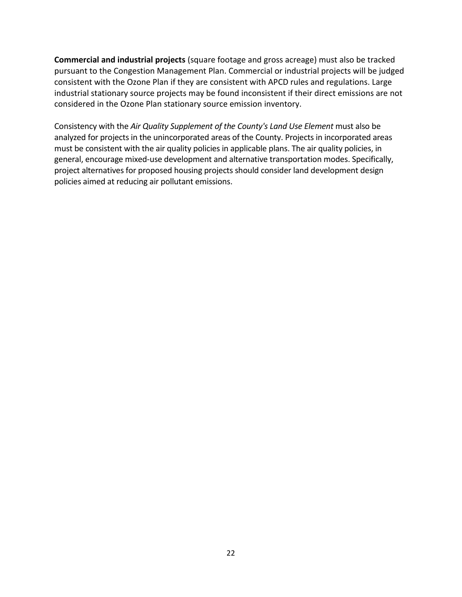**Commercial and industrial projects** (square footage and gross acreage) must also be tracked pursuant to the Congestion Management Plan. Commercial or industrial projects will be judged consistent with the Ozone Plan if they are consistent with APCD rules and regulations. Large industrial stationary source projects may be found inconsistent if their direct emissions are not considered in the Ozone Plan stationary source emission inventory.

Consistency with the *Air Quality Supplement of the County's Land Use Element* must also be analyzed for projects in the unincorporated areas of the County. Projects in incorporated areas must be consistent with the air quality policies in applicable plans. The air quality policies, in general, encourage mixed-use development and alternative transportation modes. Specifically, project alternatives for proposed housing projects should consider land development design policies aimed at reducing air pollutant emissions.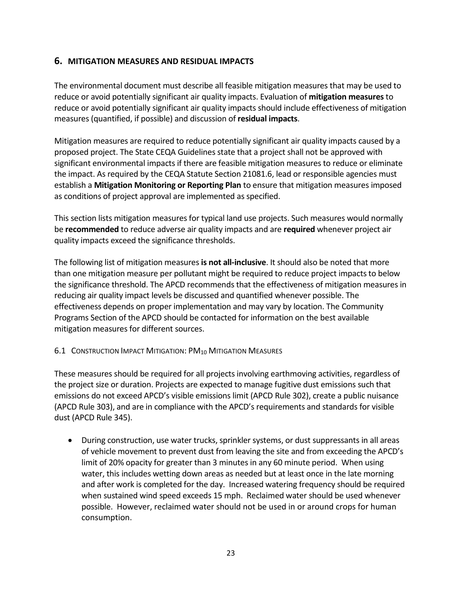# **6. MITIGATION MEASURES AND RESIDUAL IMPACTS**

The environmental document must describe all feasible mitigation measures that may be used to reduce or avoid potentially significant air quality impacts. Evaluation of **mitigation measures**to reduce or avoid potentially significant air quality impacts should include effectiveness of mitigation measures (quantified, if possible) and discussion of **residual impacts**.

Mitigation measures are required to reduce potentially significant air quality impacts caused by a proposed project. The State CEQA Guidelines state that a project shall not be approved with significant environmental impacts if there are feasible mitigation measures to reduce or eliminate the impact. As required by the CEQA Statute Section 21081.6, lead or responsible agencies must establish a **Mitigation Monitoring or Reporting Plan** to ensure that mitigation measures imposed as conditions of project approval are implemented as specified.

This section lists mitigation measures for typical land use projects. Such measures would normally be **recommended** to reduce adverse air quality impacts and are **required** whenever project air quality impacts exceed the significance thresholds.

The following list of mitigation measures **is not all-inclusive**. It should also be noted that more than one mitigation measure per pollutant might be required to reduce project impacts to below the significance threshold. The APCD recommends that the effectiveness of mitigation measures in reducing air quality impact levels be discussed and quantified whenever possible. The effectiveness depends on proper implementation and may vary by location. The Community Programs Section of the APCD should be contacted for information on the best available mitigation measures for different sources.

#### 6.1 CONSTRUCTION IMPACT MITIGATION: PM<sub>10</sub> MITIGATION MEASURES

These measures should be required for all projects involving earthmoving activities, regardless of the project size or duration. Projects are expected to manage fugitive dust emissions such that emissions do not exceed APCD's visible emissions limit (APCD Rule 302), create a public nuisance (APCD Rule 303), and are in compliance with the APCD's requirements and standards for visible dust (APCD Rule 345).

• During construction, use water trucks, sprinkler systems, or dust suppressants in all areas of vehicle movement to prevent dust from leaving the site and from exceeding the APCD's limit of 20% opacity for greater than 3 minutes in any 60 minute period. When using water, this includes wetting down areas as needed but at least once in the late morning and after work is completed for the day. Increased watering frequency should be required when sustained wind speed exceeds 15 mph. Reclaimed water should be used whenever possible. However, reclaimed water should not be used in or around crops for human consumption.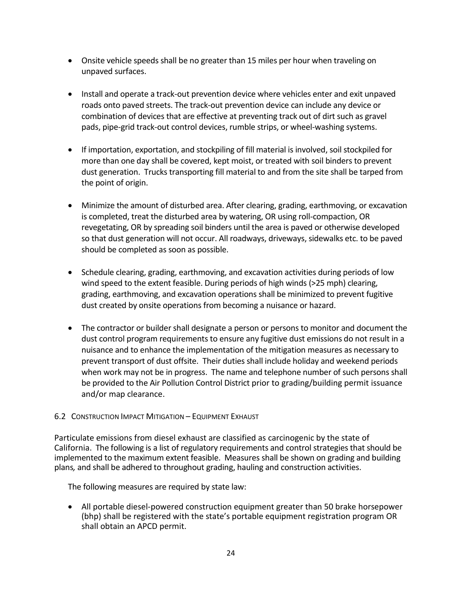- Onsite vehicle speeds shall be no greater than 15 miles per hour when traveling on unpaved surfaces.
- Install and operate a track-out prevention device where vehicles enter and exit unpaved roads onto paved streets. The track-out prevention device can include any device or combination of devices that are effective at preventing track out of dirt such as gravel pads, pipe-grid track-out control devices, rumble strips, or wheel-washing systems.
- If importation, exportation, and stockpiling of fill material is involved, soil stockpiled for more than one day shall be covered, kept moist, or treated with soil binders to prevent dust generation. Trucks transporting fill material to and from the site shall be tarped from the point of origin.
- Minimize the amount of disturbed area. After clearing, grading, earthmoving, or excavation is completed, treat the disturbed area by watering, OR using roll-compaction, OR revegetating, OR by spreading soil binders until the area is paved or otherwise developed so that dust generation will not occur. All roadways, driveways, sidewalks etc. to be paved should be completed as soon as possible.
- Schedule clearing, grading, earthmoving, and excavation activities during periods of low wind speed to the extent feasible. During periods of high winds (>25 mph) clearing, grading, earthmoving, and excavation operations shall be minimized to prevent fugitive dust created by onsite operations from becoming a nuisance or hazard.
- The contractor or builder shall designate a person or persons to monitor and document the dust control program requirements to ensure any fugitive dust emissions do not result in a nuisance and to enhance the implementation of the mitigation measures as necessary to prevent transport of dust offsite. Their duties shall include holiday and weekend periods when work may not be in progress. The name and telephone number of such persons shall be provided to the Air Pollution Control District prior to grading/building permit issuance and/or map clearance.

#### 6.2 CONSTRUCTION IMPACT MITIGATION – EQUIPMENT EXHAUST

Particulate emissions from diesel exhaust are classified as carcinogenic by the state of California. The following is a list of regulatory requirements and control strategies that should be implemented to the maximum extent feasible. Measures shall be shown on grading and building plans*,* and shall be adhered to throughout grading, hauling and construction activities.

The following measures are required by state law:

• All portable diesel-powered construction equipment greater than 50 brake horsepower (bhp) shall be registered with the state's portable equipment registration program OR shall obtain an APCD permit.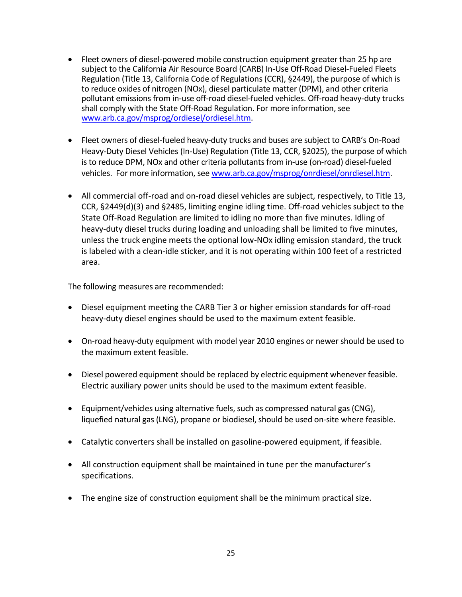- Fleet owners of diesel-powered mobile construction equipment greater than 25 hp are subject to the California Air Resource Board (CARB) In-Use Off-Road Diesel-Fueled Fleets Regulation (Title 13, California Code of Regulations (CCR), §2449), the purpose of which is to reduce oxides of nitrogen (NOx), diesel particulate matter (DPM), and other criteria pollutant emissions from in-use off-road diesel-fueled vehicles. Off-road heavy-duty trucks shall comply with the State Off-Road Regulation. For more information, see [www.arb.ca.gov/msprog/ordiesel/ordiesel.htm.](http://www.arb.ca.gov/msprog/ordiesel/ordiesel.htm)
- Fleet owners of diesel-fueled heavy-duty trucks and buses are subject to CARB's On-Road Heavy-Duty Diesel Vehicles (In-Use) Regulation (Title 13, CCR, §2025), the purpose of which is to reduce DPM, NOx and other criteria pollutants from in-use (on-road) diesel-fueled vehicles. For more information, se[e www.arb.ca.gov/msprog/onrdiesel/onrdiesel.htm.](http://www.arb.ca.gov/msprog/onrdiesel/onrdiesel.htm)
- All commercial off-road and on-road diesel vehicles are subject, respectively, to Title 13, CCR, §2449(d)(3) and §2485, limiting engine idling time. Off-road vehicles subject to the State Off-Road Regulation are limited to idling no more than five minutes. Idling of heavy-duty diesel trucks during loading and unloading shall be limited to five minutes, unless the truck engine meets the optional low-NOx idling emission standard, the truck is labeled with a clean-idle sticker, and it is not operating within 100 feet of a restricted area.

The following measures are recommended:

- Diesel equipment meeting the CARB Tier 3 or higher emission standards for off-road heavy-duty diesel engines should be used to the maximum extent feasible.
- On-road heavy-duty equipment with model year 2010 engines or newer should be used to the maximum extent feasible.
- Diesel powered equipment should be replaced by electric equipment whenever feasible. Electric auxiliary power units should be used to the maximum extent feasible.
- Equipment/vehicles using alternative fuels, such as compressed natural gas (CNG), liquefied natural gas (LNG), propane or biodiesel, should be used on-site where feasible.
- Catalytic converters shall be installed on gasoline-powered equipment, if feasible.
- All construction equipment shall be maintained in tune per the manufacturer's specifications.
- The engine size of construction equipment shall be the minimum practical size.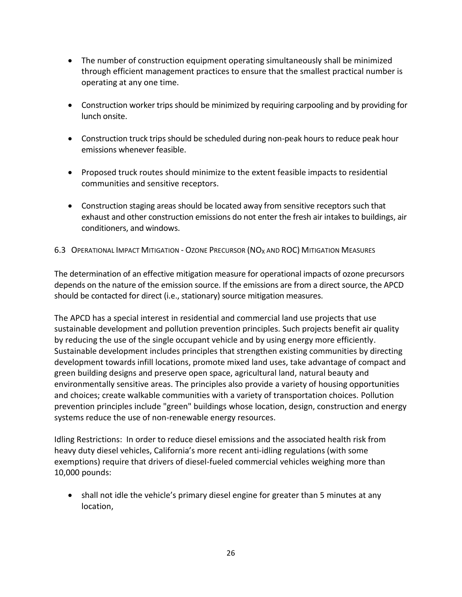- The number of construction equipment operating simultaneously shall be minimized through efficient management practices to ensure that the smallest practical number is operating at any one time.
- Construction worker trips should be minimized by requiring carpooling and by providing for lunch onsite.
- Construction truck trips should be scheduled during non-peak hours to reduce peak hour emissions whenever feasible.
- Proposed truck routes should minimize to the extent feasible impacts to residential communities and sensitive receptors.
- Construction staging areas should be located away from sensitive receptors such that exhaust and other construction emissions do not enter the fresh air intakes to buildings, air conditioners, and windows.

6.3 OPERATIONAL IMPACT MITIGATION - OZONE PRECURSOR (NO<sub>X</sub> AND ROC) MITIGATION MEASURES

The determination of an effective mitigation measure for operational impacts of ozone precursors depends on the nature of the emission source. If the emissions are from a direct source, the APCD should be contacted for direct (i.e., stationary) source mitigation measures.

The APCD has a special interest in residential and commercial land use projects that use sustainable development and pollution prevention principles. Such projects benefit air quality by reducing the use of the single occupant vehicle and by using energy more efficiently. Sustainable development includes principles that strengthen existing communities by directing development towards infill locations, promote mixed land uses, take advantage of compact and green building designs and preserve open space, agricultural land, natural beauty and environmentally sensitive areas. The principles also provide a variety of housing opportunities and choices; create walkable communities with a variety of transportation choices. Pollution prevention principles include "green" buildings whose location, design, construction and energy systems reduce the use of non-renewable energy resources.

Idling Restrictions: In order to reduce diesel emissions and the associated health risk from heavy duty diesel vehicles, California's more recent anti-idling regulations (with some exemptions) require that drivers of diesel-fueled commercial vehicles weighing more than 10,000 pounds:

• shall not idle the vehicle's primary diesel engine for greater than 5 minutes at any location,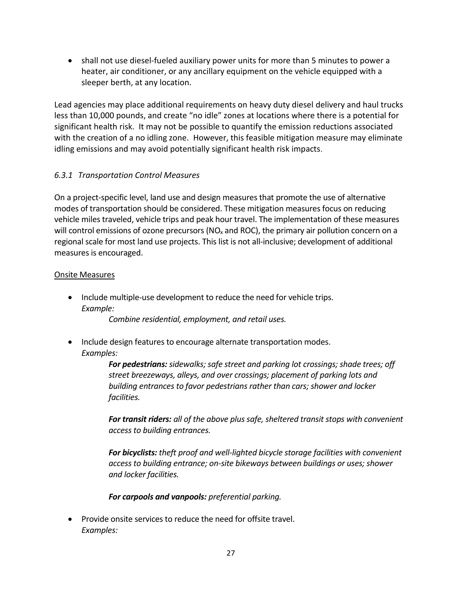• shall not use diesel-fueled auxiliary power units for more than 5 minutes to power a heater, air conditioner, or any ancillary equipment on the vehicle equipped with a sleeper berth, at any location.

Lead agencies may place additional requirements on heavy duty diesel delivery and haul trucks less than 10,000 pounds, and create "no idle" zones at locations where there is a potential for significant health risk. It may not be possible to quantify the emission reductions associated with the creation of a no idling zone. However, this feasible mitigation measure may eliminate idling emissions and may avoid potentially significant health risk impacts.

# *6.3.1 Transportation Control Measures*

On a project-specific level, land use and design measures that promote the use of alternative modes of transportation should be considered. These mitigation measures focus on reducing vehicle miles traveled, vehicle trips and peak hour travel. The implementation of these measures will control emissions of ozone precursors ( $NO<sub>x</sub>$  and ROC), the primary air pollution concern on a regional scale for most land use projects. This list is not all-inclusive; development of additional measures is encouraged.

#### Onsite Measures

• Include multiple-use development to reduce the need for vehicle trips. *Example:*

*Combine residential, employment, and retail uses.*

• Include design features to encourage alternate transportation modes. *Examples:*

> *For pedestrians: sidewalks; safe street and parking lot crossings; shade trees; off street breezeways, alleys, and over crossings; placement of parking lots and building entrances to favor pedestrians rather than cars; shower and locker facilities.*

*For transit riders: all of the above plus safe, sheltered transit stops with convenient access to building entrances.*

*For bicyclists: theft proof and well-lighted bicycle storage facilities with convenient access to building entrance; on-site bikeways between buildings or uses; shower and locker facilities.*

*For carpools and vanpools: preferential parking.*

• Provide onsite services to reduce the need for offsite travel. *Examples:*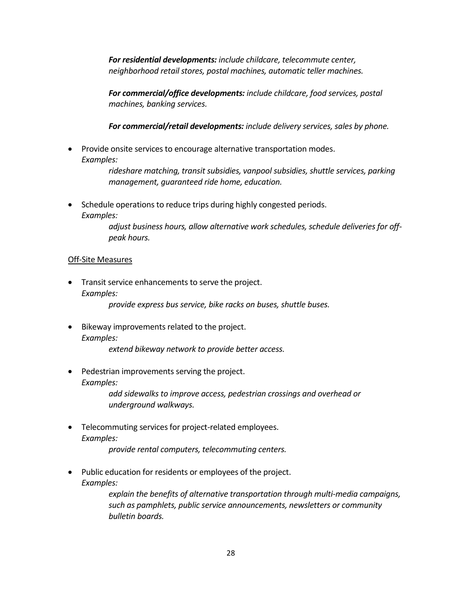*For residential developments: include childcare, telecommute center, neighborhood retail stores, postal machines, automatic teller machines.*

*For commercial/office developments: include childcare, food services, postal machines, banking services.*

*For commercial/retail developments: include delivery services, sales by phone.*

• Provide onsite services to encourage alternative transportation modes. *Examples:*

> *rideshare matching, transit subsidies, vanpool subsidies, shuttle services, parking management, guaranteed ride home, education.*

• Schedule operations to reduce trips during highly congested periods. *Examples:*

> *adjust business hours, allow alternative work schedules, schedule deliveries for offpeak hours.*

#### Off-Site Measures

• Transit service enhancements to serve the project. *Examples:*

*provide express bus service, bike racks on buses, shuttle buses.*

• Bikeway improvements related to the project. *Examples:*

*extend bikeway network to provide better access.*

• Pedestrian improvements serving the project. *Examples:*

*add sidewalks to improve access, pedestrian crossings and overhead or underground walkways.*

• Telecommuting services for project-related employees. *Examples:*

*provide rental computers, telecommuting centers.*

• Public education for residents or employees of the project. *Examples:*

> *explain the benefits of alternative transportation through multi-media campaigns, such as pamphlets, public service announcements, newsletters or community bulletin boards.*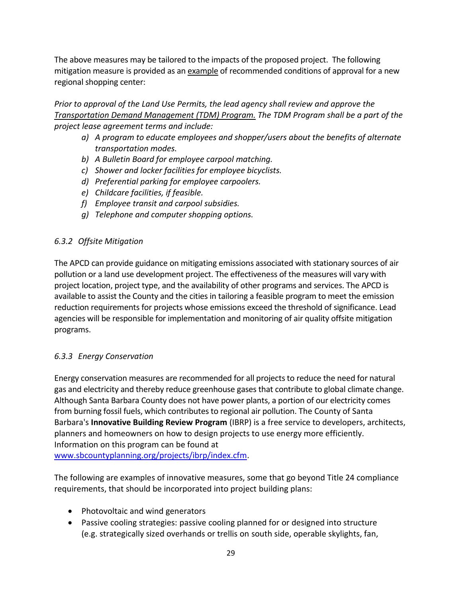The above measures may be tailored to the impacts of the proposed project. The following mitigation measure is provided as an example of recommended conditions of approval for a new regional shopping center:

*Prior to approval of the Land Use Permits, the lead agency shall review and approve the Transportation Demand Management (TDM) Program. The TDM Program shall be a part of the project lease agreement terms and include:*

- *a) A program to educate employees and shopper/users about the benefits of alternate transportation modes.*
- *b) A Bulletin Board for employee carpool matching.*
- *c) Shower and locker facilities for employee bicyclists.*
- *d) Preferential parking for employee carpoolers.*
- *e) Childcare facilities, if feasible.*
- *f) Employee transit and carpool subsidies.*
- *g) Telephone and computer shopping options.*

#### *6.3.2 Offsite Mitigation*

The APCD can provide guidance on mitigating emissions associated with stationary sources of air pollution or a land use development project. The effectiveness of the measures will vary with project location, project type, and the availability of other programs and services. The APCD is available to assist the County and the cities in tailoring a feasible program to meet the emission reduction requirements for projects whose emissions exceed the threshold of significance. Lead agencies will be responsible for implementation and monitoring of air quality offsite mitigation programs.

#### *6.3.3 Energy Conservation*

Energy conservation measures are recommended for all projects to reduce the need for natural gas and electricity and thereby reduce greenhouse gases that contribute to global climate change. Although Santa Barbara County does not have power plants, a portion of our electricity comes from burning fossil fuels, which contributes to regional air pollution. The County of Santa Barbara's **Innovative Building Review Program** (IBRP) is a free service to developers, architects, planners and homeowners on how to design projects to use energy more efficiently. Information on this program can be found at [www.sbcountyplanning.org/projects/ibrp/index.cfm.](http://www.sbcountyplanning.org/projects/ibrp/index.cfm)

The following are examples of innovative measures, some that go beyond Title 24 compliance requirements, that should be incorporated into project building plans:

- Photovoltaic and wind generators
- Passive cooling strategies: passive cooling planned for or designed into structure (e.g. strategically sized overhands or trellis on south side, operable skylights, fan,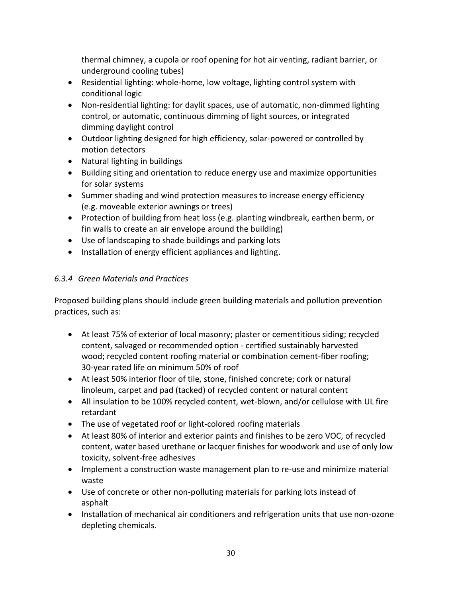thermal chimney, a cupola or roof opening for hot air venting, radiant barrier, or underground cooling tubes)

- Residential lighting: whole-home, low voltage, lighting control system with conditional logic
- Non-residential lighting: for daylit spaces, use of automatic, non-dimmed lighting control, or automatic, continuous dimming of light sources, or integrated dimming daylight control
- Outdoor lighting designed for high efficiency, solar-powered or controlled by motion detectors
- Natural lighting in buildings
- Building siting and orientation to reduce energy use and maximize opportunities for solar systems
- Summer shading and wind protection measures to increase energy efficiency (e.g. moveable exterior awnings or trees)
- Protection of building from heat loss (e.g. planting windbreak, earthen berm, or fin walls to create an air envelope around the building)
- Use of landscaping to shade buildings and parking lots
- Installation of energy efficient appliances and lighting.

# *6.3.4 Green Materials and Practices*

Proposed building plans should include green building materials and pollution prevention practices, such as:

- At least 75% of exterior of local masonry; plaster or cementitious siding; recycled content, salvaged or recommended option - certified sustainably harvested wood; recycled content roofing material or combination cement-fiber roofing; 30-year rated life on minimum 50% of roof
- At least 50% interior floor of tile, stone, finished concrete; cork or natural linoleum, carpet and pad (tacked) of recycled content or natural content
- All insulation to be 100% recycled content, wet-blown, and/or cellulose with UL fire retardant
- The use of vegetated roof or light-colored roofing materials
- At least 80% of interior and exterior paints and finishes to be zero VOC, of recycled content, water based urethane or lacquer finishes for woodwork and use of only low toxicity, solvent-free adhesives
- Implement a construction waste management plan to re-use and minimize material waste
- Use of concrete or other non-polluting materials for parking lots instead of asphalt
- Installation of mechanical air conditioners and refrigeration units that use non-ozone depleting chemicals.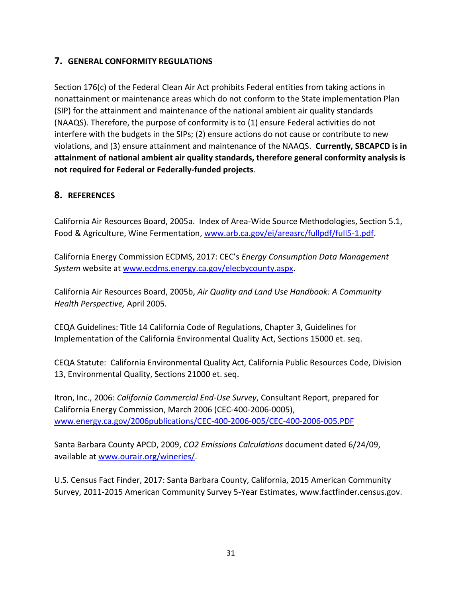# **7. GENERAL CONFORMITY REGULATIONS**

Section 176(c) of the Federal Clean Air Act prohibits Federal entities from taking actions in nonattainment or maintenance areas which do not conform to the State implementation Plan (SIP) for the attainment and maintenance of the national ambient air quality standards (NAAQS). Therefore, the purpose of conformity is to (1) ensure Federal activities do not interfere with the budgets in the SIPs; (2) ensure actions do not cause or contribute to new violations, and (3) ensure attainment and maintenance of the NAAQS. **Currently, SBCAPCD is in attainment of national ambient air quality standards, therefore general conformity analysis is not required for Federal or Federally-funded projects**.

# **8. REFERENCES**

California Air Resources Board, 2005a. Index of Area-Wide Source Methodologies, Section 5.1, Food & Agriculture, Wine Fermentation, [www.arb.ca.gov/ei/areasrc/fullpdf/full5-1.pdf.](http://www.arb.ca.gov/ei/areasrc/fullpdf/full5-1.pdf)

California Energy Commission ECDMS, 2017: CEC's *Energy Consumption Data Management System* website at [www.ecdms.energy.ca.gov/elecbycounty.aspx.](http://www.ecdms.energy.ca.gov/elecbycounty.aspx)

California Air Resources Board, 2005b, *Air Quality and Land Use Handbook: A Community Health Perspective,* April 2005*.*

CEQA Guidelines: Title 14 California Code of Regulations, Chapter 3, Guidelines for Implementation of the California Environmental Quality Act, Sections 15000 et. seq.

CEQA Statute: California Environmental Quality Act, California Public Resources Code, Division 13, Environmental Quality, Sections 21000 et. seq.

Itron, Inc., 2006: *California Commercial End-Use Survey*, Consultant Report, prepared for California Energy Commission, March 2006 (CEC-400-2006-0005), [www.energy.ca.gov/2006publications/CEC-400-2006-005/CEC-400-2006-005.PDF](http://www.energy.ca.gov/2006publications/CEC-400-2006-005/CEC-400-2006-005.PDF)

Santa Barbara County APCD, 2009, *CO2 Emissions Calculations* document dated 6/24/09, available at [www.ourair.org/wineries/.](http://www.ourair.org/wineries/)

U.S. Census Fact Finder, 2017: Santa Barbara County, California, 2015 American Community Survey, 2011-2015 American Community Survey 5-Year Estimates, www.factfinder.census.gov.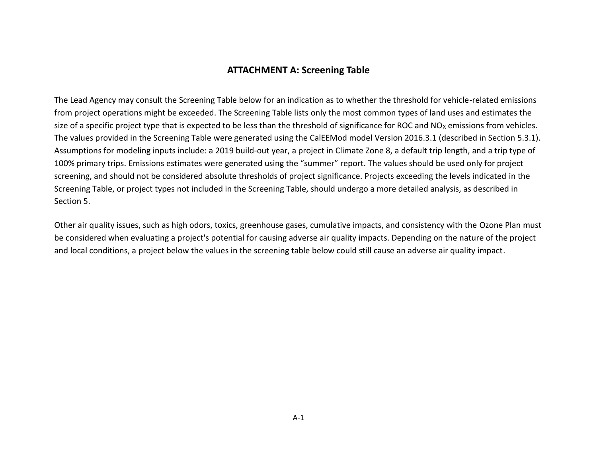# **ATTACHMENT A: Screening Table**

The Lead Agency may consult the Screening Table below for an indication as to whether the threshold for vehicle-related emissions from project operations might be exceeded. The Screening Table lists only the most common types of land uses and estimates the size of a specific project type that is expected to be less than the threshold of significance for ROC and  $NO<sub>X</sub>$  emissions from vehicles. The values provided in the Screening Table were generated using the CalEEMod model Version 2016.3.1 (described in Section 5.3.1). Assumptions for modeling inputs include: a 2019 build-out year, a project in Climate Zone 8, a default trip length, and a trip type of 100% primary trips. Emissions estimates were generated using the "summer" report. The values should be used only for project screening, and should not be considered absolute thresholds of project significance. Projects exceeding the levels indicated in the Screening Table, or project types not included in the Screening Table, should undergo a more detailed analysis, as described in Section 5.

Other air quality issues, such as high odors, toxics, greenhouse gases, cumulative impacts, and consistency with the Ozone Plan must be considered when evaluating a project's potential for causing adverse air quality impacts. Depending on the nature of the project and local conditions, a project below the values in the screening table below could still cause an adverse air quality impact.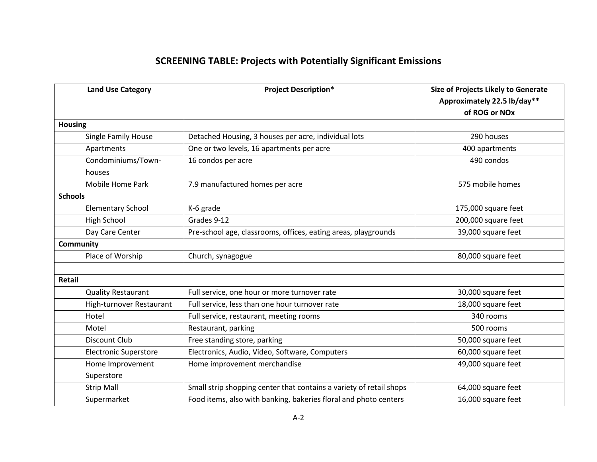# **SCREENING TABLE: Projects with Potentially Significant Emissions**

| <b>Land Use Category</b>     | <b>Project Description*</b>                                         | <b>Size of Projects Likely to Generate</b> |
|------------------------------|---------------------------------------------------------------------|--------------------------------------------|
|                              |                                                                     | Approximately 22.5 lb/day**                |
|                              |                                                                     | of ROG or NOx                              |
| <b>Housing</b>               |                                                                     |                                            |
| Single Family House          | Detached Housing, 3 houses per acre, individual lots                | 290 houses                                 |
| Apartments                   | One or two levels, 16 apartments per acre                           | 400 apartments                             |
| Condominiums/Town-           | 16 condos per acre                                                  | 490 condos                                 |
| houses                       |                                                                     |                                            |
| Mobile Home Park             | 7.9 manufactured homes per acre                                     | 575 mobile homes                           |
| <b>Schools</b>               |                                                                     |                                            |
| <b>Elementary School</b>     | K-6 grade                                                           | 175,000 square feet                        |
| High School                  | Grades 9-12                                                         | 200,000 square feet                        |
| Day Care Center              | Pre-school age, classrooms, offices, eating areas, playgrounds      | 39,000 square feet                         |
| <b>Community</b>             |                                                                     |                                            |
| Place of Worship             | Church, synagogue                                                   | 80,000 square feet                         |
|                              |                                                                     |                                            |
| Retail                       |                                                                     |                                            |
| <b>Quality Restaurant</b>    | Full service, one hour or more turnover rate                        | 30,000 square feet                         |
| High-turnover Restaurant     | Full service, less than one hour turnover rate                      | 18,000 square feet                         |
| Hotel                        | Full service, restaurant, meeting rooms                             | 340 rooms                                  |
| Motel                        | Restaurant, parking                                                 | 500 rooms                                  |
| <b>Discount Club</b>         | Free standing store, parking                                        | 50,000 square feet                         |
| <b>Electronic Superstore</b> | Electronics, Audio, Video, Software, Computers                      | 60,000 square feet                         |
| Home Improvement             | Home improvement merchandise                                        | 49,000 square feet                         |
| Superstore                   |                                                                     |                                            |
| <b>Strip Mall</b>            | Small strip shopping center that contains a variety of retail shops | 64,000 square feet                         |
| Supermarket                  | Food items, also with banking, bakeries floral and photo centers    | 16,000 square feet                         |